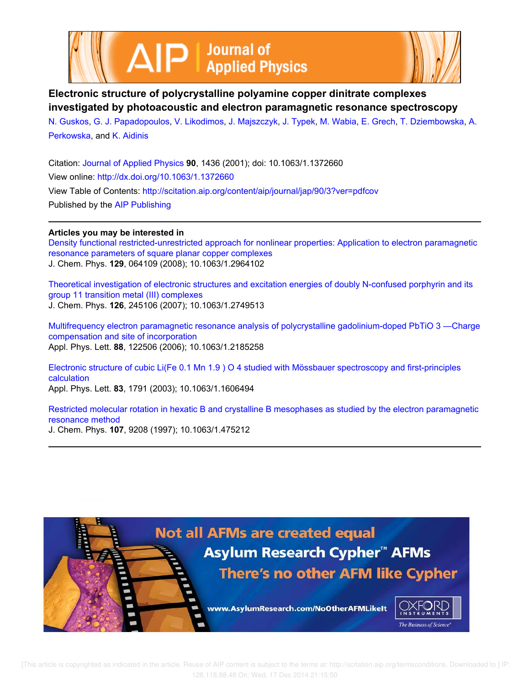



**Electronic structure of polycrystalline polyamine copper dinitrate complexes investigated by photoacoustic and electron paramagnetic resonance spectroscopy**

N. Guskos, G. J. Papadopoulos, V. Likodimos, J. Majszczyk, J. Typek, M. Wabia, E. Grech, T. Dziembowska, A. Perkowska, and K. Aidinis

Citation: Journal of Applied Physics **90**, 1436 (2001); doi: 10.1063/1.1372660 View online: http://dx.doi.org/10.1063/1.1372660 View Table of Contents: http://scitation.aip.org/content/aip/journal/jap/90/3?ver=pdfcov Published by the AIP Publishing

## **Articles you may be interested in**

Density functional restricted-unrestricted approach for nonlinear properties: Application to electron paramagnetic resonance parameters of square planar copper complexes J. Chem. Phys. **129**, 064109 (2008); 10.1063/1.2964102

Theoretical investigation of electronic structures and excitation energies of doubly N-confused porphyrin and its group 11 transition metal (III) complexes J. Chem. Phys. **126**, 245106 (2007); 10.1063/1.2749513

Multifrequency electron paramagnetic resonance analysis of polycrystalline gadolinium-doped PbTiO 3 —Charge compensation and site of incorporation Appl. Phys. Lett. **88**, 122506 (2006); 10.1063/1.2185258

Electronic structure of cubic Li(Fe 0.1 Mn 1.9 ) O 4 studied with Mössbauer spectroscopy and first-principles calculation Appl. Phys. Lett. **83**, 1791 (2003); 10.1063/1.1606494

Restricted molecular rotation in hexatic B and crystalline B mesophases as studied by the electron paramagnetic resonance method J. Chem. Phys. **107**, 9208 (1997); 10.1063/1.475212

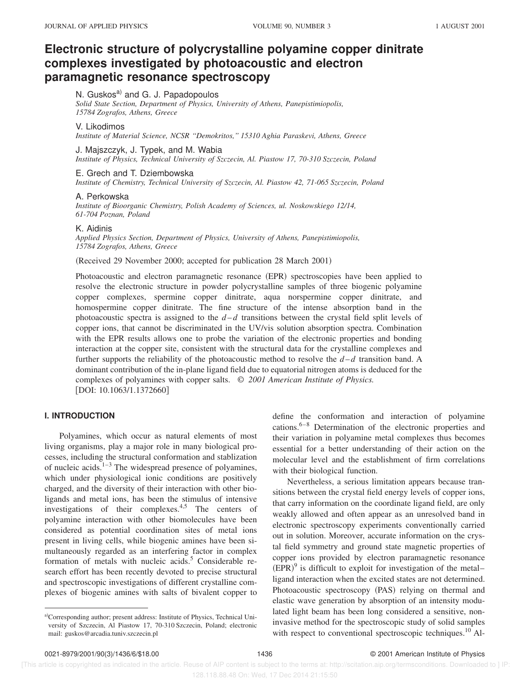# **Electronic structure of polycrystalline polyamine copper dinitrate complexes investigated by photoacoustic and electron paramagnetic resonance spectroscopy**

## N. Guskos<sup>a)</sup> and G. J. Papadopoulos

*Solid State Section, Department of Physics, University of Athens, Panepistimiopolis, 15784 Zografos, Athens, Greece*

## V. Likodimos

*Institute of Material Science, NCSR ''Demokritos,'' 15310 Aghia Paraskevi, Athens, Greece*

#### J. Majszczyk, J. Typek, and M. Wabia

*Institute of Physics, Technical University of Szczecin, Al. Piastow 17, 70-310 Szczecin, Poland*

#### E. Grech and T. Dziembowska

*Institute of Chemistry, Technical University of Szczecin, Al. Piastow 42, 71-065 Szczecin, Poland*

### A. Perkowska

*Institute of Bioorganic Chemistry, Polish Academy of Sciences, ul. Noskowskiego 12/14, 61-704 Poznan, Poland*

#### K. Aidinis

*Applied Physics Section, Department of Physics, University of Athens, Panepistimiopolis, 15784 Zografos, Athens, Greece*

(Received 29 November 2000; accepted for publication 28 March 2001)

Photoacoustic and electron paramagnetic resonance (EPR) spectroscopies have been applied to resolve the electronic structure in powder polycrystalline samples of three biogenic polyamine copper complexes, spermine copper dinitrate, aqua norspermine copper dinitrate, and homospermine copper dinitrate. The fine structure of the intense absorption band in the photoacoustic spectra is assigned to the  $d-d$  transitions between the crystal field split levels of copper ions, that cannot be discriminated in the UV/vis solution absorption spectra. Combination with the EPR results allows one to probe the variation of the electronic properties and bonding interaction at the copper site, consistent with the structural data for the crystalline complexes and further supports the reliability of the photoacoustic method to resolve the  $d-d$  transition band. A dominant contribution of the in-plane ligand field due to equatorial nitrogen atoms is deduced for the complexes of polyamines with copper salts. © *2001 American Institute of Physics.*  $[DOI: 10.1063/1.1372660]$ 

## **I. INTRODUCTION**

Polyamines, which occur as natural elements of most living organisms, play a major role in many biological processes, including the structural conformation and stablization of nucleic acids. $1-3$  The widespread presence of polyamines, which under physiological ionic conditions are positively charged, and the diversity of their interaction with other bioligands and metal ions, has been the stimulus of intensive investigations of their complexes.<sup>4,5</sup> The centers of polyamine interaction with other biomolecules have been considered as potential coordination sites of metal ions present in living cells, while biogenic amines have been simultaneously regarded as an interfering factor in complex formation of metals with nucleic acids. $5$  Considerable research effort has been recently devoted to precise structural and spectroscopic investigations of different crystalline complexes of biogenic amines with salts of bivalent copper to

define the conformation and interaction of polyamine cations. $6-8$  Determination of the electronic properties and their variation in polyamine metal complexes thus becomes essential for a better understanding of their action on the molecular level and the establishment of firm correlations with their biological function.

Nevertheless, a serious limitation appears because transitions between the crystal field energy levels of copper ions, that carry information on the coordinate ligand field, are only weakly allowed and often appear as an unresolved band in electronic spectroscopy experiments conventionally carried out in solution. Moreover, accurate information on the crystal field symmetry and ground state magnetic properties of copper ions provided by electron paramagnetic resonance  $(EPR)^9$  is difficult to exploit for investigation of the metal– ligand interaction when the excited states are not determined. Photoacoustic spectroscopy (PAS) relying on thermal and elastic wave generation by absorption of an intensity modulated light beam has been long considered a sensitive, noninvasive method for the spectroscopic study of solid samples with respect to conventional spectroscopic techniques.<sup>10</sup> Al-

a)Corresponding author; present address: Institute of Physics, Technical University of Szczecin, Al Piastow 17, 70-310 Szczecin, Poland; electronic mail: guskos@arcadia.tuniv.szczecin.pl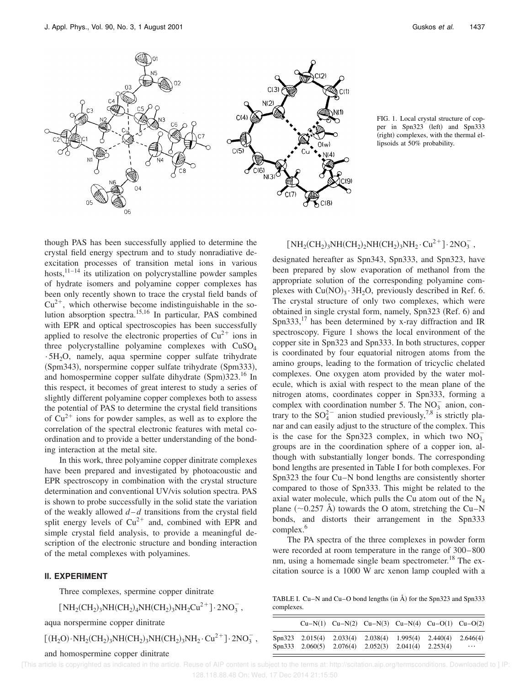

FIG. 1. Local crystal structure of copper in Spn323 (left) and Spn333 (right) complexes, with the thermal ellipsoids at 50% probability.

though PAS has been successfully applied to determine the crystal field energy spectrum and to study nonradiative deexcitation processes of transition metal ions in various hosts,  $11-14$  its utilization on polycrystalline powder samples of hydrate isomers and polyamine copper complexes has been only recently shown to trace the crystal field bands of  $Cu^{2+}$ , which otherwise become indistinguishable in the solution absorption spectra.15,16 In particular, PAS combined with EPR and optical spectroscopies has been successfully applied to resolve the electronic properties of  $Cu^{2+}$  ions in three polycrystalline polyamine complexes with CuSO<sub>4</sub>  $\cdot$  5H<sub>2</sub>O, namely, aqua spermine copper sulfate trihydrate (Spm343), norspermine copper sulfate trihydrate (Spm333), and homospermine copper sulfate dihydrate  $(Spm)323$ .<sup>16</sup> In this respect, it becomes of great interest to study a series of slightly different polyamine copper complexes both to assess the potential of PAS to determine the crystal field transitions of  $Cu^{2+}$  ions for powder samples, as well as to explore the correlation of the spectral electronic features with metal coordination and to provide a better understanding of the bonding interaction at the metal site.

In this work, three polyamine copper dinitrate complexes have been prepared and investigated by photoacoustic and EPR spectroscopy in combination with the crystal structure determination and conventional UV/vis solution spectra. PAS is shown to probe successfully in the solid state the variation of the weakly allowed  $d-d$  transitions from the crystal field split energy levels of  $Cu^{2+}$  and, combined with EPR and simple crystal field analysis, to provide a meaningful description of the electronic structure and bonding interaction of the metal complexes with polyamines.

## **II. EXPERIMENT**

Three complexes, spermine copper dinitrate

$$
[\,NH_2(CH_2)_3NH(CH_2)_4NH(CH_2)_3NH_2Cu^{2\,+}]\cdot 2NO_3^-
$$

aqua norspermine copper dinitrate

$$
\hbox{[(H_2O)\cdot NH_2(CH_2)_3NH(CH_2)_3NH(CH_2)_3NH_2\cdot Cu^{2+}}\hbox{]-} 2NO_3^-,
$$

#### and homospermine copper dinitrate

## $\left[\,\rm{NH_2(CH_2)_3NH(CH_2)_2NH(CH_2)_3NH_2\cdot Cu^{2\, +}\,\right]\cdot 2NO_3^-$ ,

designated hereafter as Spn343, Spn333, and Spn323, have been prepared by slow evaporation of methanol from the appropriate solution of the corresponding polyamine complexes with  $Cu(NO)_3 \cdot 3H_2O$ , previously described in Ref. 6. The crystal structure of only two complexes, which were obtained in single crystal form, namely, Spn323 (Ref. 6) and Spn333,<sup>17</sup> has been determined by x-ray diffraction and IR spectroscopy. Figure 1 shows the local environment of the copper site in Spn323 and Spn333. In both structures, copper is coordinated by four equatorial nitrogen atoms from the amino groups, leading to the formation of tricyclic chelated complexes. One oxygen atom provided by the water molecule, which is axial with respect to the mean plane of the nitrogen atoms, coordinates copper in Spn333, forming a complex with coordination number 5. The  $NO<sub>3</sub><sup>-</sup>$  anion, contrary to the  $SO_4^{2-}$  anion studied previously,<sup>7,8</sup> is strictly planar and can easily adjust to the structure of the complex. This is the case for the Spn323 complex, in which two  $NO_3^$ groups are in the coordination sphere of a copper ion, although with substantially longer bonds. The corresponding bond lengths are presented in Table I for both complexes. For Spn323 the four Cu–N bond lengths are consistently shorter compared to those of Spn333. This might be related to the axial water molecule, which pulls the Cu atom out of the  $N_4$ plane  $(\sim 0.257 \text{ Å})$  towards the O atom, stretching the Cu–N bonds, and distorts their arrangement in the Spn333 complex.<sup>6</sup>

The PA spectra of the three complexes in powder form were recorded at room temperature in the range of 300–800 nm, using a homemade single beam spectrometer.<sup>18</sup> The excitation source is a 1000 W arc xenon lamp coupled with a

TABLE I. Cu–N and Cu–O bond lengths  $(in \AA)$  for the Spn323 and Spn333 complexes.

|                                                              |  | $Cu-N(1)$ $Cu-N(2)$ $Cu-N(3)$ $Cu-N(4)$ $Cu-O(1)$ $Cu-O(2)$ |          |
|--------------------------------------------------------------|--|-------------------------------------------------------------|----------|
| Spn323 2.015(4) 2.033(4) 2.038(4) 1.995(4) 2.440(4) 2.646(4) |  |                                                             |          |
| Spn333 2.060(5) 2.076(4) 2.052(3) 2.041(4) 2.253(4)          |  |                                                             | $\cdots$ |

 [This article is copyrighted as indicated in the article. Reuse of AIP content is subject to the terms at: http://scitation.aip.org/termsconditions. Downloaded to ] IP: 128.118.88.48 On: Wed, 17 Dec 2014 21:15:50

,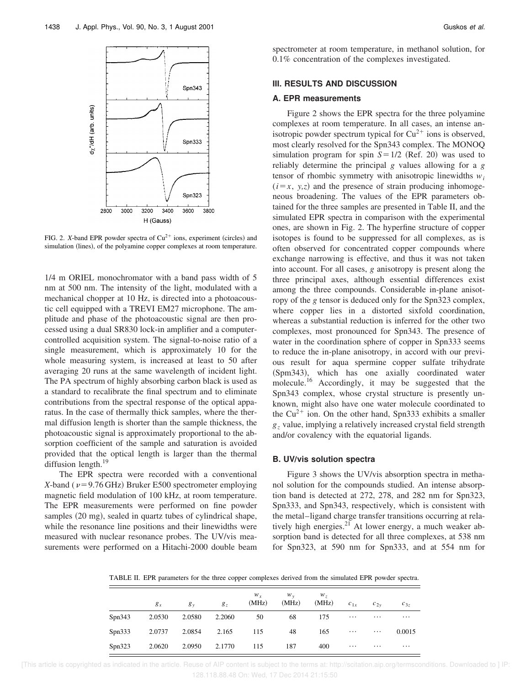

FIG. 2. *X*-band EPR powder spectra of  $Cu^{2+}$  ions, experiment (circles) and simulation (lines), of the polyamine copper complexes at room temperature.

1/4 m ORIEL monochromator with a band pass width of 5 nm at 500 nm. The intensity of the light, modulated with a mechanical chopper at 10 Hz, is directed into a photoacoustic cell equipped with a TREVI EM27 microphone. The amplitude and phase of the photoacoustic signal are then processed using a dual SR830 lock-in amplifier and a computercontrolled acquisition system. The signal-to-noise ratio of a single measurement, which is approximately 10 for the whole measuring system, is increased at least to 50 after averaging 20 runs at the same wavelength of incident light. The PA spectrum of highly absorbing carbon black is used as a standard to recalibrate the final spectrum and to eliminate contributions from the spectral response of the optical apparatus. In the case of thermally thick samples, where the thermal diffusion length is shorter than the sample thickness, the photoacoustic signal is approximately proportional to the absorption coefficient of the sample and saturation is avoided provided that the optical length is larger than the thermal diffusion length. $^{19}$ 

The EPR spectra were recorded with a conventional *X*-band ( $\nu$ =9.76 GHz) Bruker E500 spectrometer employing magnetic field modulation of 100 kHz, at room temperature. The EPR measurements were performed on fine powder samples  $(20 \text{ mg})$ , sealed in quartz tubes of cylindrical shape, while the resonance line positions and their linewidths were measured with nuclear resonance probes. The UV/vis measurements were performed on a Hitachi-2000 double beam spectrometer at room temperature, in methanol solution, for 0.1% concentration of the complexes investigated.

## **III. RESULTS AND DISCUSSION**

## **A. EPR measurements**

Figure 2 shows the EPR spectra for the three polyamine complexes at room temperature. In all cases, an intense anisotropic powder spectrum typical for  $Cu^{2+}$  ions is observed, most clearly resolved for the Spn343 complex. The MONOQ simulation program for spin  $S=1/2$  (Ref. 20) was used to reliably determine the principal *g* values allowing for a *g* tensor of rhombic symmetry with anisotropic linewidths  $w_i$  $(i=x, y, z)$  and the presence of strain producing inhomogeneous broadening. The values of the EPR parameters obtained for the three samples are presented in Table II, and the simulated EPR spectra in comparison with the experimental ones, are shown in Fig. 2. The hyperfine structure of copper isotopes is found to be suppressed for all complexes, as is often observed for concentrated copper compounds where exchange narrowing is effective, and thus it was not taken into account. For all cases, *g* anisotropy is present along the three principal axes, although essential differences exist among the three compounds. Considerable in-plane anisotropy of the *g* tensor is deduced only for the Spn323 complex, where copper lies in a distorted sixfold coordination, whereas a substantial reduction is inferred for the other two complexes, most pronounced for Spn343. The presence of water in the coordination sphere of copper in Spn333 seems to reduce the in-plane anisotropy, in accord with our previous result for aqua spermine copper sulfate trihydrate (Spm343), which has one axially coordinated water molecule.<sup>16</sup> Accordingly, it may be suggested that the Spn343 complex, whose crystal structure is presently unknown, might also have one water molecule coordinated to the  $Cu^{2+}$  ion. On the other hand, Spn333 exhibits a smaller *g<sup>z</sup>* value, implying a relatively increased crystal field strength and/or covalency with the equatorial ligands.

## **B. UV/vis solution spectra**

Figure 3 shows the UV/vis absorption spectra in methanol solution for the compounds studied. An intense absorption band is detected at 272, 278, and 282 nm for Spn323, Spn333, and Spn343, respectively, which is consistent with the metal–ligand charge transfer transitions occurring at relatively high energies. $2^1$  At lower energy, a much weaker absorption band is detected for all three complexes, at 538 nm for Spn323, at 590 nm for Spn333, and at 554 nm for

TABLE II. EPR parameters for the three copper complexes derived from the simulated EPR powder spectra.

|         | $g_x$  | $g_{v}$             | $g_{z}$ | $W_{x}$<br>(MHz) | $W_y$<br>(MHz) | $W_{7}$<br>(MHz) | $c_{1x}$                                                          | $c_{2v}$ | $c_{3z}$ |
|---------|--------|---------------------|---------|------------------|----------------|------------------|-------------------------------------------------------------------|----------|----------|
| Spin343 | 2.0530 | 2.0580              | 2.2060  | 50               | 68             | 175              | $\bullet$ , $\bullet$ , $\bullet$ , $\bullet$ , $\bullet$         | $\cdots$ | $\cdots$ |
| Spin333 |        | 2.0737 2.0854 2.165 |         | 115              | 48             | 165              | $\mathbf{r} \cdot \mathbf{r}$ , and $\mathbf{r} \cdot \mathbf{r}$ | $\cdots$ | 0.0015   |
| Spin323 | 2.0620 | 2.0950 2.1770       |         | 115              | 187            | 400              | $\sim$ $\sim$ $\sim$                                              | $\cdots$ | $\cdots$ |

 [This article is copyrighted as indicated in the article. Reuse of AIP content is subject to the terms at: http://scitation.aip.org/termsconditions. Downloaded to ] IP: 128.118.88.48 On: Wed, 17 Dec 2014 21:15:50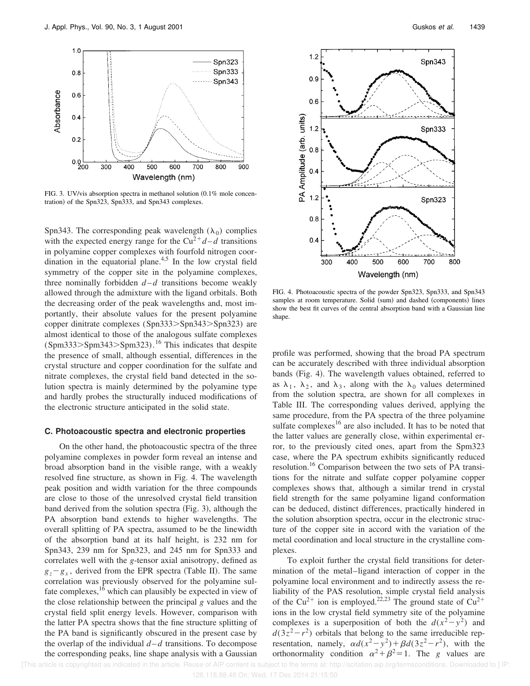

FIG. 3. UV/vis absorption spectra in methanol solution  $(0.1\%$  mole concentration) of the Spn323, Spn333, and Spn343 complexes.

Spn343. The corresponding peak wavelength  $(\lambda_0)$  complies with the expected energy range for the  $Cu^{2+}d-d$  transitions in polyamine copper complexes with fourfold nitrogen coordination in the equatorial plane. $4.5$  In the low crystal field symmetry of the copper site in the polyamine complexes, three nominally forbidden  $d-d$  transitions become weakly allowed through the admixture with the ligand orbitals. Both the decreasing order of the peak wavelengths and, most importantly, their absolute values for the present polyamine copper dinitrate complexes (Spn333>Spn343>Spn323) are almost identical to those of the analogous sulfate complexes  $(Spm333>Spm343>Spm323)$ .<sup>16</sup> This indicates that despite the presence of small, although essential, differences in the crystal structure and copper coordination for the sulfate and nitrate complexes, the crystal field band detected in the solution spectra is mainly determined by the polyamine type and hardly probes the structurally induced modifications of the electronic structure anticipated in the solid state.

#### **C. Photoacoustic spectra and electronic properties**

On the other hand, the photoacoustic spectra of the three polyamine complexes in powder form reveal an intense and broad absorption band in the visible range, with a weakly resolved fine structure, as shown in Fig. 4. The wavelength peak position and width variation for the three compounds are close to those of the unresolved crystal field transition band derived from the solution spectra  $(Fig. 3)$ , although the PA absorption band extends to higher wavelengths. The overall splitting of PA spectra, assumed to be the linewidth of the absorption band at its half height, is 232 nm for Spn343, 239 nm for Spn323, and 245 nm for Spn333 and correlates well with the *g*-tensor axial anisotropy, defined as  $g_z - g_x$ , derived from the EPR spectra (Table II). The same correlation was previously observed for the polyamine sulfate complexes,  $16$  which can plausibly be expected in view of the close relationship between the principal *g* values and the crystal field split energy levels. However, comparison with the latter PA spectra shows that the fine structure splitting of the PA band is significantly obscured in the present case by the overlap of the individual  $d-d$  transitions. To decompose the corresponding peaks, line shape analysis with a Gaussian



FIG. 4. Photoacoustic spectra of the powder Spn323, Spn333, and Spn343 samples at room temperature. Solid (sum) and dashed (components) lines show the best fit curves of the central absorption band with a Gaussian line shape.

profile was performed, showing that the broad PA spectrum can be accurately described with three individual absorption bands (Fig. 4). The wavelength values obtained, referred to as  $\lambda_1$ ,  $\lambda_2$ , and  $\lambda_3$ , along with the  $\lambda_0$  values determined from the solution spectra, are shown for all complexes in Table III. The corresponding values derived, applying the same procedure, from the PA spectra of the three polyamine sulfate complexes $16$  are also included. It has to be noted that the latter values are generally close, within experimental error, to the previously cited ones, apart from the Spm323 case, where the PA spectrum exhibits significantly reduced resolution.<sup>16</sup> Comparison between the two sets of PA transitions for the nitrate and sulfate copper polyamine copper complexes shows that, although a similar trend in crystal field strength for the same polyamine ligand conformation can be deduced, distinct differences, practically hindered in the solution absorption spectra, occur in the electronic structure of the copper site in accord with the variation of the metal coordination and local structure in the crystalline complexes.

To exploit further the crystal field transitions for determination of the metal–ligand interaction of copper in the polyamine local environment and to indirectly assess the reliability of the PAS resolution, simple crystal field analysis of the Cu<sup>2+</sup> ion is employed.<sup>22,23</sup> The ground state of Cu<sup>2+</sup> ions in the low crystal field symmetry site of the polyamine complexes is a superposition of both the  $d(x^2-y^2)$  and  $d(3z^2 - r^2)$  orbitals that belong to the same irreducible representation, namely,  $\alpha d(x^2-y^2)+\beta d(3z^2-r^2)$ , with the orthonormality condition  $\alpha^2 + \beta^2 = 1$ . The *g* values are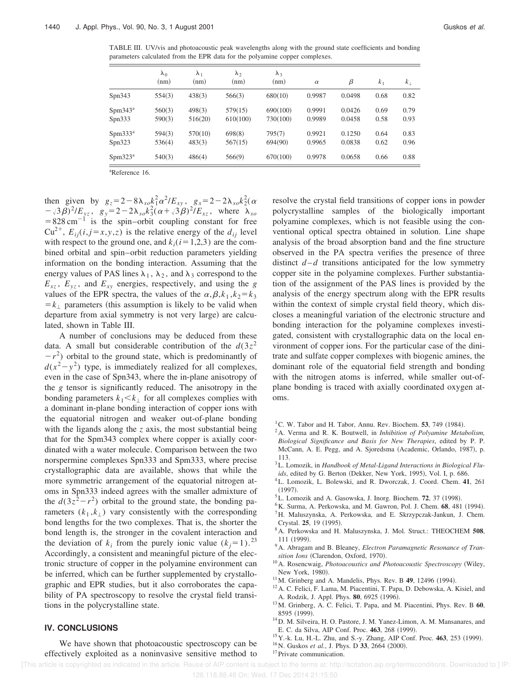TABLE III. UV/vis and photoacoustic peak wavelengths along with the ground state coefficients and bonding parameters calculated from the EPR data for the polyamine copper complexes.

|                     | $\lambda_0$<br>(nm) | $\lambda_1$<br>(nm) | $\lambda_{2}$<br>(nm) | $\lambda_3$<br>(nm) | $\alpha$ | β      | k <sub>1</sub> | $k_{\perp}$ |
|---------------------|---------------------|---------------------|-----------------------|---------------------|----------|--------|----------------|-------------|
| Spin343             | 554(3)              | 438(3)              | 566(3)                | 680(10)             | 0.9987   | 0.0498 | 0.68           | 0.82        |
| $Spm343^a$          | 560(3)              | 498(3)              | 579(15)               | 690(100)            | 0.9991   | 0.0426 | 0.69           | 0.79        |
| Spin333             | 590(3)              | 516(20)             | 610(100)              | 730(100)            | 0.9989   | 0.0458 | 0.58           | 0.93        |
| $Spm333^a$          | 594(3)              | 570(10)             | 698(8)                | 795(7)              | 0.9921   | 0.1250 | 0.64           | 0.83        |
| Spin323             | 536(4)              | 483(3)              | 567(15)               | 694(90)             | 0.9965   | 0.0838 | 0.62           | 0.96        |
| Spm323 <sup>a</sup> | 540(3)              | 486(4)              | 566(9)                | 670(100)            | 0.9978   | 0.0658 | 0.66           | 0.88        |

<sup>a</sup>Reference 16.

then given by  $g_z = 2 - 8\lambda_{so} k_1^2 \alpha^2 / E_{xy}$ ,  $g_x = 2 - 2\lambda_{so} k_2^2 (\alpha$  $(-\sqrt{3\beta})^2/E_{yz}$ ,  $g_y = 2 - 2\lambda_{so}k_3^2(\alpha + \sqrt{3\beta})^2/E_{xz}$ , where  $\lambda_{so}$  $=828 \text{ cm}^{-1}$  is the spin–orbit coupling constant for free Cu<sup>2+</sup>,  $E_{ii}$ (*i*, *j* = *x*, *y*, *z*) is the relative energy of the  $d_{ii}$  level with respect to the ground one, and  $k_i$  ( $i = 1,2,3$ ) are the combined orbital and spin–orbit reduction parameters yielding information on the bonding interaction. Assuming that the energy values of PAS lines  $\lambda_1$ ,  $\lambda_2$ , and  $\lambda_3$  correspond to the  $E_{xz}$ ,  $E_{yz}$ , and  $E_{xy}$  energies, respectively, and using the *g* values of the EPR spectra, the values of the  $\alpha, \beta, k_1, k_2 = k_3$  $=k_{\perp}$  parameters (this assumption is likely to be valid when departure from axial symmetry is not very large) are calculated, shown in Table III.

A number of conclusions may be deduced from these data. A small but considerable contribution of the  $d(3z^2)$  $-r^2$ ) orbital to the ground state, which is predominantly of  $d(x^2 - y^2)$  type, is immediately realized for all complexes, even in the case of Spn343, where the in-plane anisotropy of the *g* tensor is significantly reduced. The anisotropy in the bonding parameters  $k_1 < k_{\perp}$  for all complexes complies with a dominant in-plane bonding interaction of copper ions with the equatorial nitrogen and weaker out-of-plane bonding with the ligands along the *z* axis, the most substantial being that for the Spm343 complex where copper is axially coordinated with a water molecule. Comparison between the two norspermine complexes Spn333 and Spm333, where precise crystallographic data are available, shows that while the more symmetric arrangement of the equatorial nitrogen atoms in Spn333 indeed agrees with the smaller admixture of the  $d(3z^2 - r^2)$  orbital to the ground state, the bonding parameters  $(k_1, k_1)$  vary consistently with the corresponding bond lengths for the two complexes. That is, the shorter the bond length is, the stronger in the covalent interaction and the deviation of  $k_i$  from the purely ionic value  $(k_j=1)$ .<sup>23</sup> Accordingly, a consistent and meaningful picture of the electronic structure of copper in the polyamine environment can be inferred, which can be further supplemented by crystallographic and EPR studies, but it also corroborates the capability of PA spectroscopy to resolve the crystal field transitions in the polycrystalline state.

We have shown that photoacoustic spectroscopy can be effectively exploited as a noninvasive sensitive method to

**IV. CONCLUSIONS**

resolve the crystal field transitions of copper ions in powder polycrystalline samples of the biologically important polyamine complexes, which is not feasible using the conventional optical spectra obtained in solution. Line shape analysis of the broad absorption band and the fine structure observed in the PA spectra verifies the presence of three distinct  $d-d$  transitions anticipated for the low symmetry copper site in the polyamine complexes. Further substantiation of the assignment of the PAS lines is provided by the analysis of the energy spectrum along with the EPR results within the context of simple crystal field theory, which discloses a meaningful variation of the electronic structure and bonding interaction for the polyamine complexes investigated, consistent with crystallographic data on the local environment of copper ions. For the particular case of the dinitrate and sulfate copper complexes with biogenic amines, the dominant role of the equatorial field strength and bonding with the nitrogen atoms is inferred, while smaller out-ofplane bonding is traced with axially coordinated oxygen atoms.

- $<sup>1</sup>C$ . W. Tabor and H. Tabor, Annu. Rev. Biochem. **53**, 749 (1984).</sup>
- <sup>2</sup>A. Verma and R. K. Boutwell, in *Inhibition of Polyamine Metabolism, Biological Significance and Basis for New Therapies*, edited by P. P. McCann, A. E. Pegg, and A. Sjoredsma (Academic, Orlando, 1987), p. 113.
- <sup>3</sup>L. Lomozik, in *Handbook of Metal-Ligand Interactions in Biological Flu-*
- *ids*, edited by G. Berton (Dekker, New York, 1995), Vol. I, p. 686.
- <sup>4</sup>L. Lomozik, L. Bolewski, and R. Dworczak, J. Coord. Chem. **41**, 261
- $(1997).$
- ${}^5$ L. Lomozik and A. Gasowska, J. Inorg. Biochem. **72**, 37 (1998).
- <sup>6</sup>K. Surma, A. Perkowska, and M. Gawron, Pol. J. Chem. 68, 481 (1994). <sup>7</sup>H. Maluszynska, A. Perkowska, and E. Skrzypczak-Jankun, J. Chem.
- Crystal. **25**, 19 (1995). <sup>8</sup>A. Perkowska and H. Maluszynska, J. Mol. Struct.: THEOCHEM **508**,
- 111 (1999).
- <sup>9</sup>A. Abragam and B. Bleaney, *Electron Paramagnetic Resonance of Transition Ions* (Clarendon, Oxford, 1970).
- <sup>10</sup> A. Rosencwaig, *Photoacoustics and Photoacoustic Spectroscopy* (Wiley, New York, 1980).
- <sup>11</sup>M. Grinberg and A. Mandelis, Phys. Rev. B **49**, 12496 (1994).
- <sup>12</sup> A. C. Felici, F. Lama, M. Piacentini, T. Papa, D. Debowska, A. Kisiel, and A. Rodzik, J. Appl. Phys. **80**, 6925 (1996).
- <sup>13</sup>M. Grinberg, A. C. Felici, T. Papa, and M. Piacentini, Phys. Rev. B **60**, 8595 (1999).
- <sup>14</sup>D. M. Silveira, H. O. Pastore, J. M. Yanez-Limon, A. M. Mansanares, and E. C. da Silva, AIP Conf. Proc. **463**, 268 (1999).
- <sup>15</sup> Y.-k. Lu, H.-L. Zhu, and S.-y. Zhang, AIP Conf. Proc. **463**, 253 (1999).
- <sup>16</sup>N. Guskos *et al.*, J. Phys. D 33, 2664 (2000).
	-

<sup>17</sup>Private communication.

# [This article is copyrighted as indicated in the article. Reuse of AIP content is subject to the terms at: http://scitation.aip.org/termsconditions. Downloaded to ] IP: